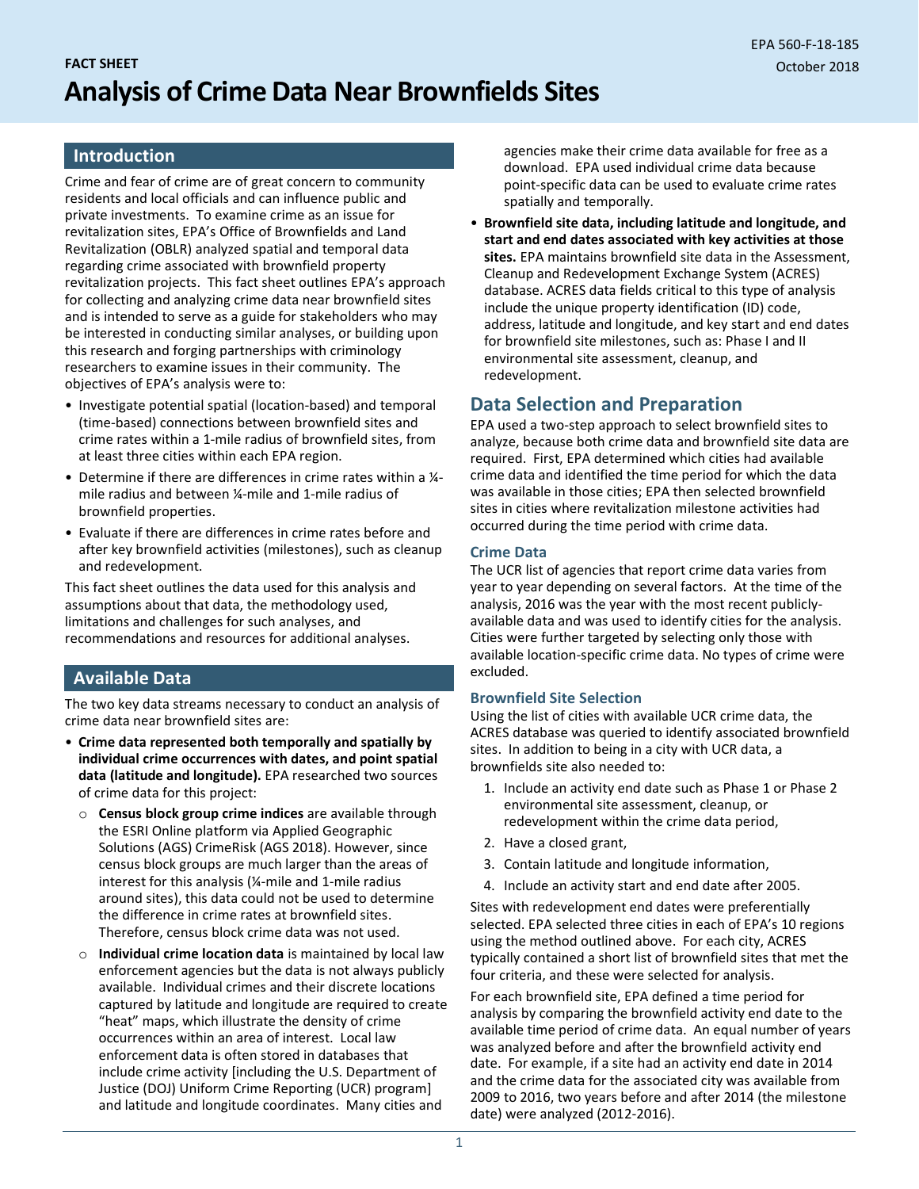# **FACT SHEET Analysis of Crime Data Near Brownfields Sites**

#### **Introduction**

Crime and fear of crime are of great concern to community residents and local officials and can influence public and private investments. To examine crime as an issue for revitalization sites, EPA's Office of Brownfields and Land Revitalization (OBLR) analyzed spatial and temporal data regarding crime associated with brownfield property revitalization projects. This fact sheet outlines EPA's approach for collecting and analyzing crime data near brownfield sites and is intended to serve as a guide for stakeholders who may be interested in conducting similar analyses, or building upon this research and forging partnerships with criminology researchers to examine issues in their community. The objectives of EPA's analysis were to:

- Investigate potential spatial (location-based) and temporal (time-based) connections between brownfield sites and crime rates within a 1-mile radius of brownfield sites, from at least three cities within each EPA region.
- Determine if there are differences in crime rates within a ¼ mile radius and between ¼-mile and 1-mile radius of brownfield properties.
- Evaluate if there are differences in crime rates before and after key brownfield activities (milestones), such as cleanup and redevelopment.

This fact sheet outlines the data used for this analysis and assumptions about that data, the methodology used, limitations and challenges for such analyses, and recommendations and resources for additional analyses.

### **Available Data**

The two key data streams necessary to conduct an analysis of crime data near brownfield sites are:

- **Crime data represented both temporally and spatially by individual crime occurrences with dates, and point spatial data (latitude and longitude).** EPA researched two sources of crime data for this project:
	- o **Census block group crime indices** are available through the ESRI Online platform via Applied Geographic Solutions (AGS) CrimeRisk (AGS 2018). However, since census block groups are much larger than the areas of interest for this analysis (¼-mile and 1-mile radius around sites), this data could not be used to determine the difference in crime rates at brownfield sites. Therefore, census block crime data was not used.
	- o **Individual crime location data** is maintained by local law enforcement agencies but the data is not always publicly available. Individual crimes and their discrete locations captured by latitude and longitude are required to create "heat" maps, which illustrate the density of crime occurrences within an area of interest. Local law enforcement data is often stored in databases that include crime activity [including the U.S. Department of Justice (DOJ) Uniform Crime Reporting (UCR) program] and latitude and longitude coordinates. Many cities and

agencies make their crime data available for free as a download. EPA used individual crime data because point-specific data can be used to evaluate crime rates spatially and temporally.

• **Brownfield site data, including latitude and longitude, and start and end dates associated with key activities at those sites.** EPA maintains brownfield site data in the Assessment, Cleanup and Redevelopment Exchange System (ACRES) database. ACRES data fields critical to this type of analysis include the unique property identification (ID) code, address, latitude and longitude, and key start and end dates for brownfield site milestones, such as: Phase I and II environmental site assessment, cleanup, and redevelopment.

## **Data Selection and Preparation**

EPA used a two-step approach to select brownfield sites to analyze, because both crime data and brownfield site data are required. First, EPA determined which cities had available crime data and identified the time period for which the data was available in those cities; EPA then selected brownfield sites in cities where revitalization milestone activities had occurred during the time period with crime data.

#### **Crime Data**

The UCR list of agencies that report crime data varies from year to year depending on several factors. At the time of the analysis, 2016 was the year with the most recent publiclyavailable data and was used to identify cities for the analysis. Cities were further targeted by selecting only those with available location-specific crime data. No types of crime were excluded.

#### **Brownfield Site Selection**

Using the list of cities with available UCR crime data, the ACRES database was queried to identify associated brownfield sites. In addition to being in a city with UCR data, a brownfields site also needed to:

- 1. Include an activity end date such as Phase 1 or Phase 2 environmental site assessment, cleanup, or redevelopment within the crime data period,
- 2. Have a closed grant,
- 3. Contain latitude and longitude information,
- 4. Include an activity start and end date after 2005.

Sites with redevelopment end dates were preferentially selected. EPA selected three cities in each of EPA's 10 regions using the method outlined above. For each city, ACRES typically contained a short list of brownfield sites that met the four criteria, and these were selected for analysis.

For each brownfield site, EPA defined a time period for analysis by comparing the brownfield activity end date to the available time period of crime data. An equal number of years was analyzed before and after the brownfield activity end date. For example, if a site had an activity end date in 2014 and the crime data for the associated city was available from 2009 to 2016, two years before and after 2014 (the milestone date) were analyzed (2012-2016).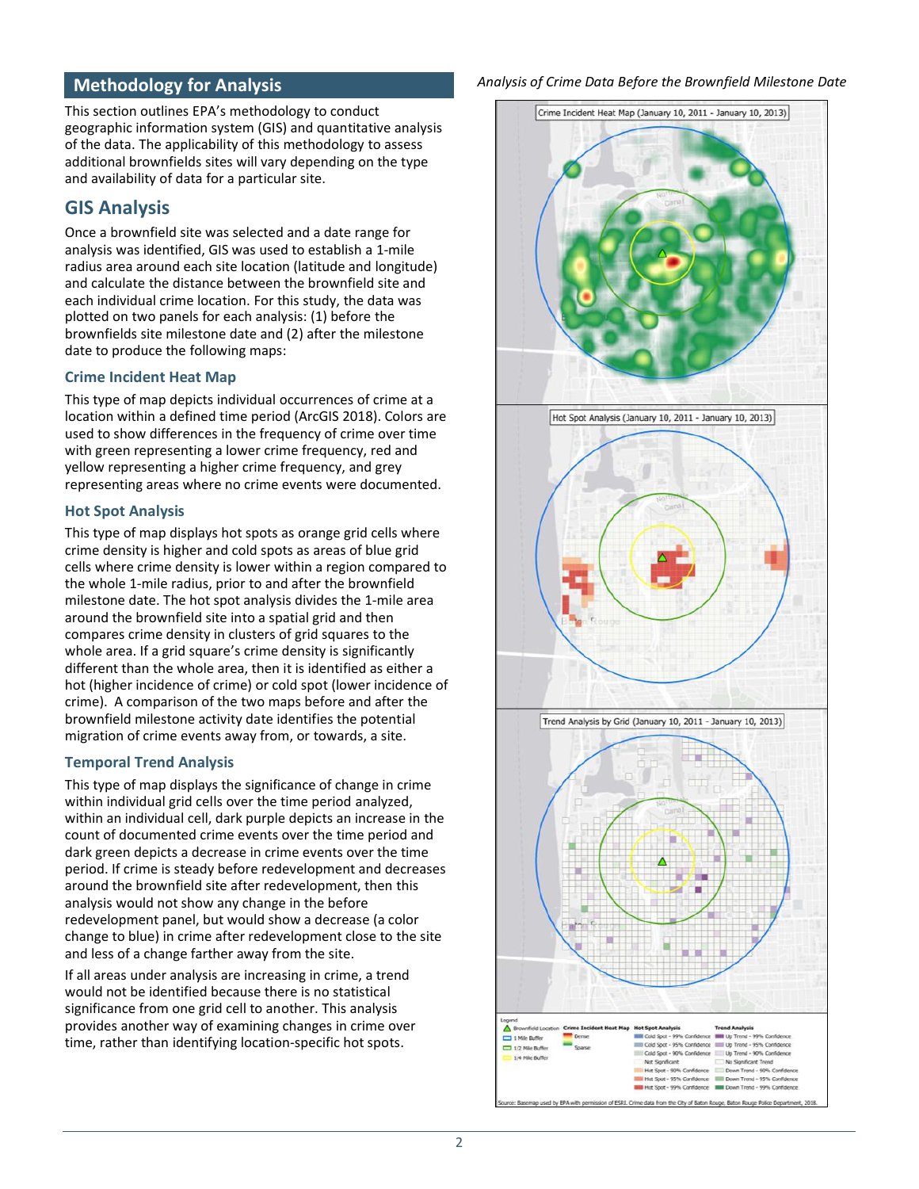## **Methodology for Analysis**

This section outlines EPA's methodology to conduct geographic information system (GIS) and quantitative analysis of the data. The applicability of this methodology to assess additional brownfields sites will vary depending on the type and availability of data for a particular site.

## **GIS Analysis**

Once a brownfield site was selected and a date range for analysis was identified, GIS was used to establish a 1-mile radius area around each site location (latitude and longitude) and calculate the distance between the brownfield site and each individual crime location. For this study, the data was plotted on two panels for each analysis: (1) before the brownfields site milestone date and (2) after the milestone date to produce the following maps:

#### **Crime Incident Heat Map**

This type of map depicts individual occurrences of crime at a location within a defined time period (ArcGIS 2018). Colors are used to show differences in the frequency of crime over time with green representing a lower crime frequency, red and yellow representing a higher crime frequency, and grey representing areas where no crime events were documented.

#### **Hot Spot Analysis**

This type of map displays hot spots as orange grid cells where crime density is higher and cold spots as areas of blue grid cells where crime density is lower within a region compared to the whole 1-mile radius, prior to and after the brownfield milestone date. The hot spot analysis divides the 1-mile area around the brownfield site into a spatial grid and then compares crime density in clusters of grid squares to the whole area. If a grid square's crime density is significantly different than the whole area, then it is identified as either a hot (higher incidence of crime) or cold spot (lower incidence of crime). A comparison of the two maps before and after the brownfield milestone activity date identifies the potential migration of crime events away from, or towards, a site.

#### **Temporal Trend Analysis**

This type of map displays the significance of change in crime within individual grid cells over the time period analyzed, within an individual cell, dark purple depicts an increase in the count of documented crime events over the time period and dark green depicts a decrease in crime events over the time period. If crime is steady before redevelopment and decreases around the brownfield site after redevelopment, then this analysis would not show any change in the before redevelopment panel, but would show a decrease (a color change to blue) in crime after redevelopment close to the site and less of a change farther away from the site.

If all areas under analysis are increasing in crime, a trend would not be identified because there is no statistical significance from one grid cell to another. This analysis provides another way of examining changes in crime over time, rather than identifying location-specific hot spots.

#### *Analysis of Crime Data Before the Brownfield Milestone Date*

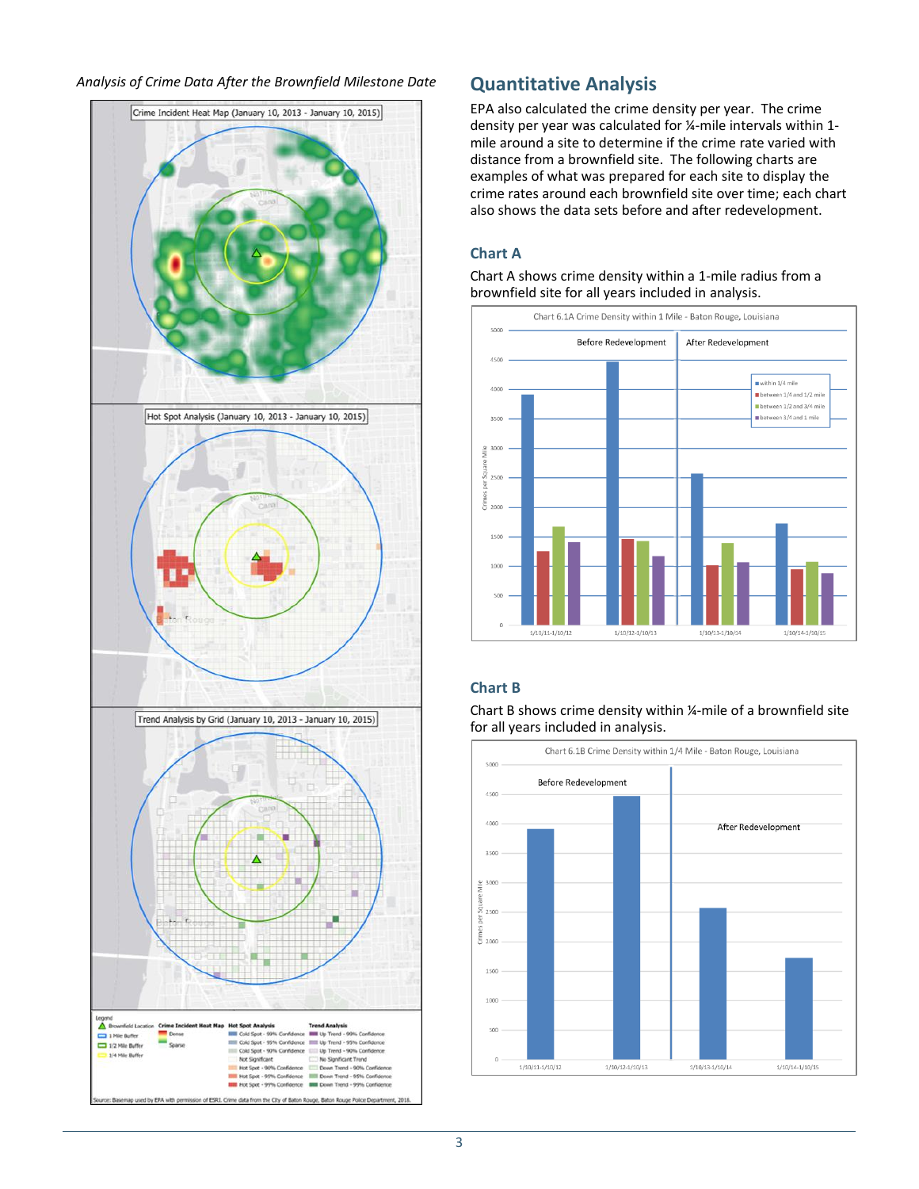



EPA also calculated the crime density per year. The crime density per year was calculated for ¼-mile intervals within 1 mile around a site to determine if the crime rate varied with distance from a brownfield site. The following charts are examples of what was prepared for each site to display the crime rates around each brownfield site over time; each chart also shows the data sets before and after redevelopment.

#### **Chart A**

Chart A shows crime density within a 1-mile radius from a brownfield site for all years included in analysis.



## **Chart B**



Chart B shows crime density within ¼-mile of a brownfield site for all years included in analysis.